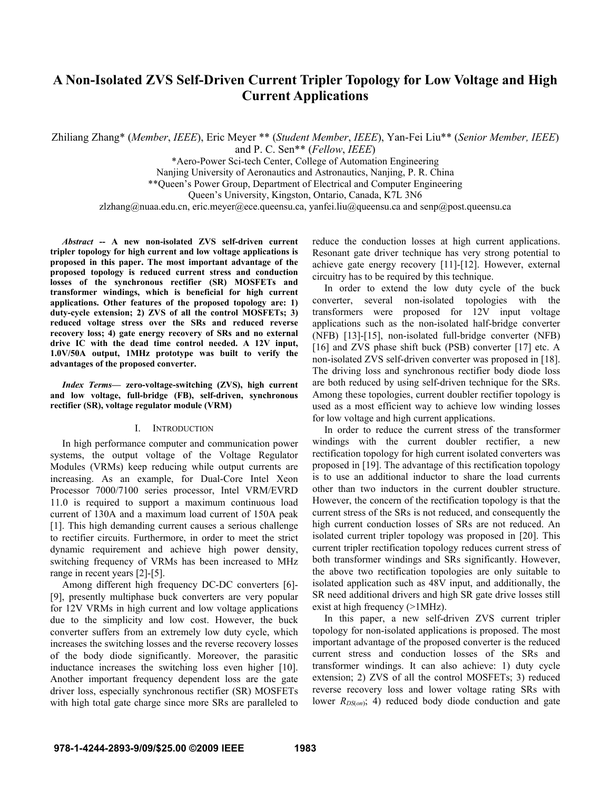# **A Non-Isolated ZVS Self-Driven Current Tripler Topology for Low Voltage and High Current Applications**

Zhiliang Zhang\* (*Member*, *IEEE*), Eric Meyer \*\* (*Student Member*, *IEEE*), Yan-Fei Liu\*\* (*Senior Member, IEEE*) and P. C. Sen\*\* (*Fellow*, *IEEE*)

\*Aero-Power Sci-tech Center, College of Automation Engineering

Nanjing University of Aeronautics and Astronautics, Nanjing, P. R. China

\*\*Queen's Power Group, Department of Electrical and Computer Engineering

Queen's University, Kingston, Ontario, Canada, K7L 3N6

zlzhang@nuaa.edu.cn, eric.meyer@ece.queensu.ca, yanfei.liu@queensu.ca and senp@post.queensu.ca

*Abstract* **-- A new non-isolated ZVS self-driven current tripler topology for high current and low voltage applications is proposed in this paper. The most important advantage of the proposed topology is reduced current stress and conduction losses of the synchronous rectifier (SR) MOSFETs and transformer windings, which is beneficial for high current applications. Other features of the proposed topology are: 1) duty-cycle extension; 2) ZVS of all the control MOSFETs; 3) reduced voltage stress over the SRs and reduced reverse recovery loss; 4) gate energy recovery of SRs and no external drive IC with the dead time control needed. A 12V input, 1.0V/50A output, 1MHz prototype was built to verify the advantages of the proposed converter.** 

*Index Terms***— zero-voltage-switching (ZVS), high current and low voltage, full-bridge (FB), self-driven, synchronous rectifier (SR), voltage regulator module (VRM)** 

## I. INTRODUCTION

In high performance computer and communication power systems, the output voltage of the Voltage Regulator Modules (VRMs) keep reducing while output currents are increasing. As an example, for Dual-Core Intel Xeon Processor 7000/7100 series processor, Intel VRM/EVRD 11.0 is required to support a maximum continuous load current of 130A and a maximum load current of 150A peak [1]. This high demanding current causes a serious challenge to rectifier circuits. Furthermore, in order to meet the strict dynamic requirement and achieve high power density, switching frequency of VRMs has been increased to MHz range in recent years [2]-[5].

Among different high frequency DC-DC converters [6]- [9], presently multiphase buck converters are very popular for 12V VRMs in high current and low voltage applications due to the simplicity and low cost. However, the buck converter suffers from an extremely low duty cycle, which increases the switching losses and the reverse recovery losses of the body diode significantly. Moreover, the parasitic inductance increases the switching loss even higher [10]. Another important frequency dependent loss are the gate driver loss, especially synchronous rectifier (SR) MOSFETs with high total gate charge since more SRs are paralleled to

reduce the conduction losses at high current applications. Resonant gate driver technique has very strong potential to achieve gate energy recovery [11]-[12]. However, external circuitry has to be required by this technique.

In order to extend the low duty cycle of the buck converter, several non-isolated topologies with the transformers were proposed for 12V input voltage applications such as the non-isolated half-bridge converter (NFB) [13]-[15], non-isolated full-bridge converter (NFB) [16] and ZVS phase shift buck (PSB) converter [17] etc. A non-isolated ZVS self-driven converter was proposed in [18]. The driving loss and synchronous rectifier body diode loss are both reduced by using self-driven technique for the SRs. Among these topologies, current doubler rectifier topology is used as a most efficient way to achieve low winding losses for low voltage and high current applications.

In order to reduce the current stress of the transformer windings with the current doubler rectifier, a new rectification topology for high current isolated converters was proposed in [19]. The advantage of this rectification topology is to use an additional inductor to share the load currents other than two inductors in the current doubler structure. However, the concern of the rectification topology is that the current stress of the SRs is not reduced, and consequently the high current conduction losses of SRs are not reduced. An isolated current tripler topology was proposed in [20]. This current tripler rectification topology reduces current stress of both transformer windings and SRs significantly. However, the above two rectification topologies are only suitable to isolated application such as 48V input, and additionally, the SR need additional drivers and high SR gate drive losses still exist at high frequency (>1MHz).

In this paper, a new self-driven ZVS current tripler topology for non-isolated applications is proposed. The most important advantage of the proposed converter is the reduced current stress and conduction losses of the SRs and transformer windings. It can also achieve: 1) duty cycle extension; 2) ZVS of all the control MOSFETs; 3) reduced reverse recovery loss and lower voltage rating SRs with lower *R<sub>DS(on)</sub>*; 4) reduced body diode conduction and gate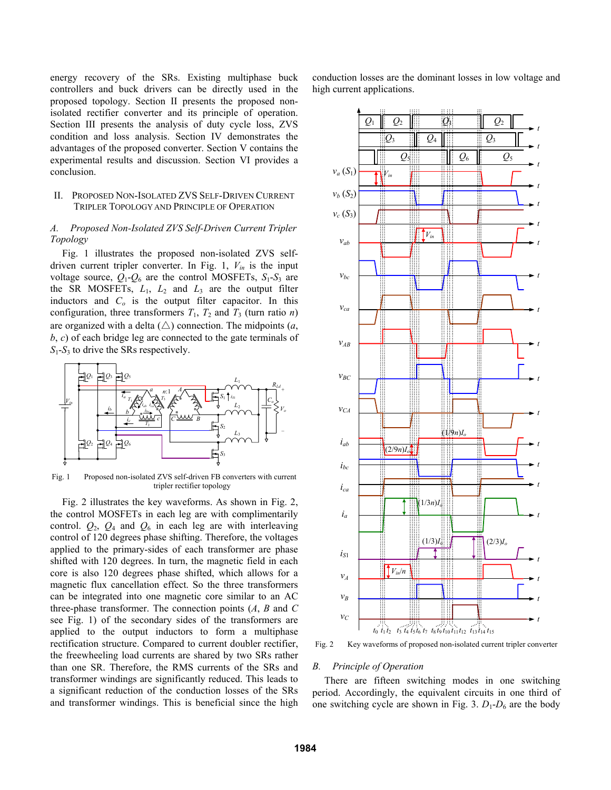energy recovery of the SRs. Existing multiphase buck controllers and buck drivers can be directly used in the proposed topology. Section II presents the proposed nonisolated rectifier converter and its principle of operation. Section III presents the analysis of duty cycle loss, ZVS condition and loss analysis. Section IV demonstrates the advantages of the proposed converter. Section V contains the experimental results and discussion. Section VI provides a conclusion.

## II. PROPOSED NON-ISOLATED ZVS SELF-DRIVEN CURRENT TRIPLER TOPOLOGY AND PRINCIPLE OF OPERATION

## *A. Proposed Non-Isolated ZVS Self-Driven Current Tripler Topology*

Fig. 1 illustrates the proposed non-isolated ZVS selfdriven current tripler converter. In Fig. 1,  $V_{in}$  is the input voltage source,  $Q_1$ - $Q_6$  are the control MOSFETs,  $S_1$ - $S_3$  are the SR MOSFETs,  $L_1$ ,  $L_2$  and  $L_3$  are the output filter inductors and  $C<sub>o</sub>$  is the output filter capacitor. In this configuration, three transformers  $T_1$ ,  $T_2$  and  $T_3$  (turn ratio *n*) are organized with a delta  $(\triangle)$  connection. The midpoints  $(a, \triangle)$ *b*, *c*) of each bridge leg are connected to the gate terminals of *S*1-*S*3 to drive the SRs respectively.



Fig. 1 Proposed non-isolated ZVS self-driven FB converters with current tripler rectifier topology

Fig. 2 illustrates the key waveforms. As shown in Fig. 2, the control MOSFETs in each leg are with complimentarily control.  $Q_2$ ,  $Q_4$  and  $Q_6$  in each leg are with interleaving control of 120 degrees phase shifting. Therefore, the voltages applied to the primary-sides of each transformer are phase shifted with 120 degrees. In turn, the magnetic field in each core is also 120 degrees phase shifted, which allows for a magnetic flux cancellation effect. So the three transformers can be integrated into one magnetic core similar to an AC three-phase transformer. The connection points (*A*, *B* and *C* see Fig. 1) of the secondary sides of the transformers are applied to the output inductors to form a multiphase rectification structure. Compared to current doubler rectifier, the freewheeling load currents are shared by two SRs rather than one SR. Therefore, the RMS currents of the SRs and transformer windings are significantly reduced. This leads to a significant reduction of the conduction losses of the SRs and transformer windings. This is beneficial since the high conduction losses are the dominant losses in low voltage and high current applications.



Fig. 2 Key waveforms of proposed non-isolated current tripler converter

## *B. Principle of Operation*

There are fifteen switching modes in one switching period. Accordingly, the equivalent circuits in one third of one switching cycle are shown in Fig. 3.  $D_1 - D_6$  are the body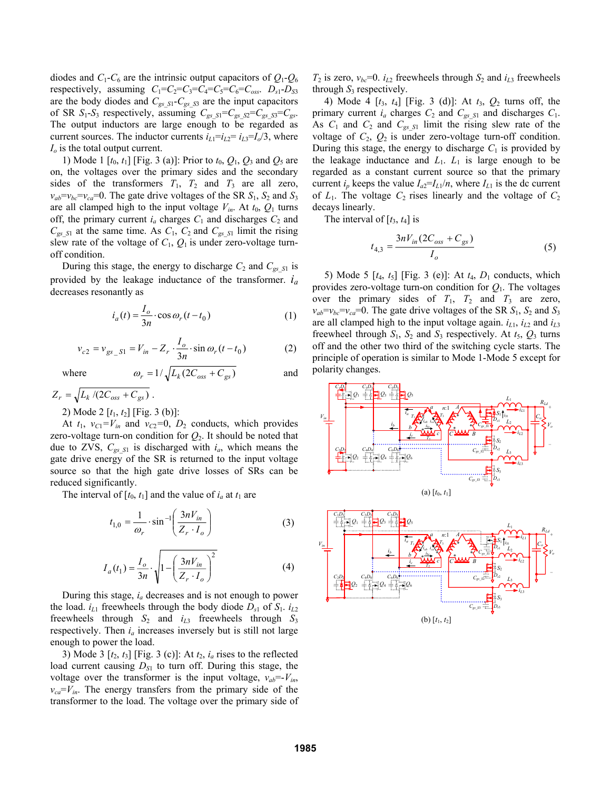diodes and  $C_1$ - $C_6$  are the intrinsic output capacitors of  $Q_1$ - $Q_6$ respectively, assuming  $C_1 = C_2 = C_3 = C_4 = C_5 = C_6 = C_{\text{oss}}$ .  $D_{s1} - D_{s3}$ are the body diodes and  $C_{gs_S}I - C_{gs_S}3$  are the input capacitors of SR  $S_1$ - $S_3$  respectively, assuming  $C_{gs}$ <sub> $S_1$ </sub>= $C_{gs}$ <sub> $S_2$ </sub>= $C_{gs}$ <sub> $S_3$ </sub>= $C_{gs}$ . The output inductors are large enough to be regarded as current sources. The inductor currents  $i_{L1} = i_{L2} = i_{L3} = I_o/3$ , where *I*<sub>o</sub> is the total output current.

1) Mode 1  $[t_0, t_1]$  [Fig. 3 (a)]: Prior to  $t_0, Q_1, Q_3$  and  $Q_5$  are on, the voltages over the primary sides and the secondary sides of the transformers  $T_1$ ,  $T_2$  and  $T_3$  are all zero,  $v_{ab} = v_{bc} = v_{ca} = 0$ . The gate drive voltages of the SR  $S_1$ ,  $S_2$  and  $S_3$ are all clamped high to the input voltage  $V_{in}$ . At  $t_0$ ,  $Q_1$  turns off, the primary current  $i_a$  charges  $C_1$  and discharges  $C_2$  and  $C_{gs\_S1}$  at the same time. As  $C_1$ ,  $C_2$  and  $C_{gs\_S1}$  limit the rising slew rate of the voltage of  $C_1$ ,  $Q_1$  is under zero-voltage turnoff condition.

During this stage, the energy to discharge  $C_2$  and  $C_{gs\ SI}$  is provided by the leakage inductance of the transformer. *ia* decreases resonantly as

$$
i_a(t) = \frac{I_o}{3n} \cdot \cos \omega_r(t - t_0)
$$
 (1)

$$
v_{c2} = v_{gs\_S1} = V_{in} - Z_r \cdot \frac{I_o}{3n} \cdot \sin \omega_r (t - t_0)
$$
 (2)

where  $\omega_r = 1/\sqrt{L_k (2C_{oss} + C_{gs})}$  and

$$
Z_r = \sqrt{L_k/(2C_{oss} + C_{gs})}.
$$

2) Mode 2 [*t*1, *t*2] [Fig. 3 (b)]:

At  $t_1$ ,  $v_{C1} = V_{in}$  and  $v_{C2} = 0$ ,  $D_2$  conducts, which provides zero-voltage turn-on condition for  $Q_2$ . It should be noted that due to ZVS,  $C_{gs\ SI}$  is discharged with  $i_a$ , which means the gate drive energy of the SR is returned to the input voltage source so that the high gate drive losses of SRs can be reduced significantly.

The interval of  $[t_0, t_1]$  and the value of  $i_a$  at  $t_1$  are

$$
t_{1,0} = \frac{1}{\omega_r} \cdot \sin^{-1} \left( \frac{3nV_{in}}{Z_r \cdot I_o} \right) \tag{3}
$$

$$
I_a(t_1) = \frac{I_o}{3n} \cdot \sqrt{1 - \left(\frac{3nV_{in}}{Z_r \cdot I_o}\right)^2}
$$
 (4)

During this stage, *ia* decreases and is not enough to power the load.  $i_{L1}$  freewheels through the body diode  $D_{s1}$  of  $S_1$ .  $i_{L2}$ freewheels through  $S_2$  and  $i_{L3}$  freewheels through  $S_3$ respectively. Then  $i_a$  increases inversely but is still not large enough to power the load.

3) Mode 3  $[t_2, t_3]$  [Fig. 3 (c)]: At  $t_2$ ,  $i_a$  rises to the reflected load current causing  $D_{S1}$  to turn off. During this stage, the voltage over the transformer is the input voltage,  $v_{ab} = -V_{in}$ ,  $v_{ca} = V_{in}$ . The energy transfers from the primary side of the transformer to the load. The voltage over the primary side of

 $T_2$  is zero,  $v_{bc} = 0$ .  $i_{L2}$  freewheels through  $S_2$  and  $i_{L3}$  freewheels through  $S_3$  respectively.

4) Mode 4 [*t*3, *t*4] [Fig. 3 (d)]: At *t*3, *Q*2 turns off, the primary current  $i_a$  charges  $C_2$  and  $C_{gs}$   $s_1$  and discharges  $C_1$ . As  $C_1$  and  $C_2$  and  $C_{gsS1}$  limit the rising slew rate of the voltage of  $C_2$ ,  $Q_2$  is under zero-voltage turn-off condition. During this stage, the energy to discharge  $C_1$  is provided by the leakage inductance and  $L_1$ .  $L_1$  is large enough to be regarded as a constant current source so that the primary current  $i_p$  keeps the value  $I_{a2} = I_{L1}/n$ , where  $I_{L1}$  is the dc current of  $L_1$ . The voltage  $C_2$  rises linearly and the voltage of  $C_2$ decays linearly.

The interval of  $[t_3, t_4]$  is

$$
t_{4,3} = \frac{3nV_{in}(2C_{oss} + C_{gs})}{I_o}
$$
 (5)

5) Mode 5  $[t_4, t_5]$  [Fig. 3 (e)]: At  $t_4$ ,  $D_1$  conducts, which provides zero-voltage turn-on condition for  $Q_1$ . The voltages over the primary sides of  $T_1$ ,  $T_2$  and  $T_3$  are zero,  $v_{ab} = v_{bc} = v_{ca} = 0$ . The gate drive voltages of the SR  $S_1$ ,  $S_2$  and  $S_3$ are all clamped high to the input voltage again.  $i_{L1}$ ,  $i_{L2}$  and  $i_{L3}$ freewheel through  $S_1$ ,  $S_2$  and  $S_3$  respectively. At  $t_5$ ,  $Q_3$  turns off and the other two third of the switching cycle starts. The principle of operation is similar to Mode 1-Mode 5 except for polarity changes.



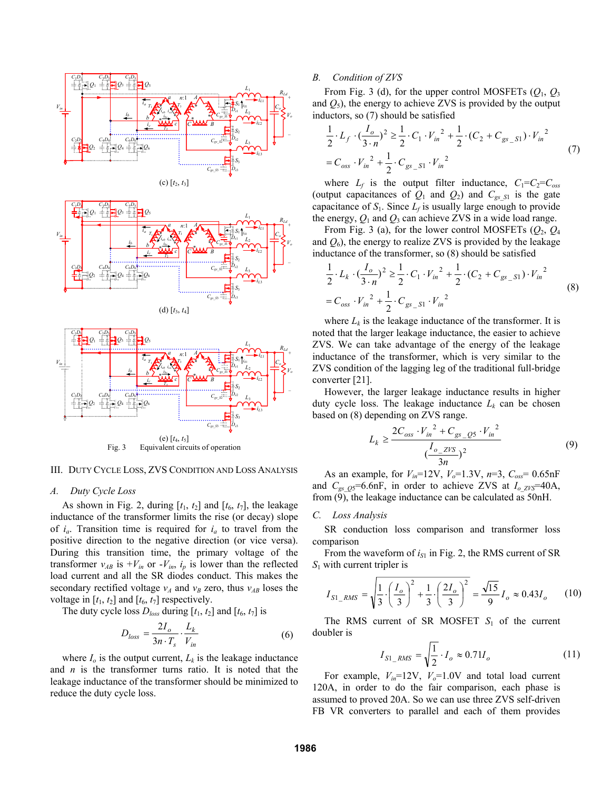







#### III. DUTY CYCLE LOSS, ZVS CONDITION AND LOSS ANALYSIS

#### *A. Duty Cycle Loss*

As shown in Fig. 2, during  $[t_1, t_2]$  and  $[t_6, t_7]$ , the leakage inductance of the transformer limits the rise (or decay) slope of *ia*. Transition time is required for *ia* to travel from the positive direction to the negative direction (or vice versa). During this transition time, the primary voltage of the transformer  $v_{AB}$  is  $+V_{in}$  or  $-V_{in}$ ,  $i_p$  is lower than the reflected load current and all the SR diodes conduct. This makes the secondary rectified voltage  $v_A$  and  $v_B$  zero, thus  $v_{AB}$  loses the voltage in  $[t_1, t_2]$  and  $[t_6, t_7]$  respectively.

The duty cycle loss  $D_{loss}$  during  $[t_1, t_2]$  and  $[t_6, t_7]$  is

$$
D_{loss} = \frac{2I_o}{3n \cdot T_s} \cdot \frac{L_k}{V_{in}} \tag{6}
$$

where  $I<sub>o</sub>$  is the output current,  $L<sub>k</sub>$  is the leakage inductance and *n* is the transformer turns ratio. It is noted that the leakage inductance of the transformer should be minimized to reduce the duty cycle loss.

#### *B. Condition of ZVS*

From Fig. 3 (d), for the upper control MOSFETs  $(Q_1, Q_3)$ and  $Q_5$ ), the energy to achieve ZVS is provided by the output inductors, so (7) should be satisfied

$$
\frac{1}{2} \cdot L_f \cdot (\frac{I_o}{3 \cdot n})^2 \ge \frac{1}{2} \cdot C_1 \cdot V_{in}^2 + \frac{1}{2} \cdot (C_2 + C_{gs\_S1}) \cdot V_{in}^2
$$
\n
$$
= C_{oss} \cdot V_{in}^2 + \frac{1}{2} \cdot C_{gs\_S1} \cdot V_{in}^2
$$
\n(7)

where  $L_f$  is the output filter inductance,  $C_1 = C_2 = C_{\text{oss}}$ (output capacitances of  $Q_1$  and  $Q_2$ ) and  $C_{gs_S}$  is the gate capacitance of  $S_1$ . Since  $L_f$  is usually large enough to provide the energy,  $Q_1$  and  $Q_3$  can achieve ZVS in a wide load range.

From Fig. 3 (a), for the lower control MOSFETs  $(Q_2, Q_4)$ and  $Q_6$ ), the energy to realize ZVS is provided by the leakage inductance of the transformer, so (8) should be satisfied

$$
\frac{1}{2} \cdot L_k \cdot \left(\frac{I_o}{3 \cdot n}\right)^2 \ge \frac{1}{2} \cdot C_1 \cdot V_{in}^2 + \frac{1}{2} \cdot \left(C_2 + C_{gs\_S1}\right) \cdot V_{in}^2
$$
\n
$$
= C_{oss} \cdot V_{in}^2 + \frac{1}{2} \cdot C_{gs\_S1} \cdot V_{in}^2 \tag{8}
$$

where  $L_k$  is the leakage inductance of the transformer. It is noted that the larger leakage inductance, the easier to achieve ZVS. We can take advantage of the energy of the leakage inductance of the transformer, which is very similar to the ZVS condition of the lagging leg of the traditional full-bridge converter [21].

However, the larger leakage inductance results in higher duty cycle loss. The leakage inductance  $L_k$  can be chosen based on (8) depending on ZVS range.

$$
L_k \ge \frac{2C_{oss} \cdot V_{in}^2 + C_{gs\_QS} \cdot V_{in}^2}{(\frac{I_{o\_ZVS}}{3n})^2}
$$
(9)

As an example, for *Vin*=12V, *Vo*=1.3V, *n*=3, *Coss*= 0.65nF and  $C_{gs\_Q5}$ =6.6nF, in order to achieve ZVS at  $I_0$ <sub>ZVS</sub>=40A, from (9), the leakage inductance can be calculated as 50nH.

## *C. Loss Analysis*

SR conduction loss comparison and transformer loss comparison

From the waveform of  $i_{S1}$  in Fig. 2, the RMS current of SR *S*1 with current tripler is

$$
I_{S1\_RMS} = \sqrt{\frac{1}{3} \cdot \left(\frac{I_o}{3}\right)^2 + \frac{1}{3} \cdot \left(\frac{2I_o}{3}\right)^2} = \frac{\sqrt{15}}{9} I_o \approx 0.43 I_o \tag{10}
$$

The RMS current of SR MOSFET  $S_1$  of the current doubler is

$$
I_{S1\_RMS} = \sqrt{\frac{1}{2}} \cdot I_o \approx 0.71 I_o \tag{11}
$$

For example,  $V_{in}$ =12V,  $V_o$ =1.0V and total load current 120A, in order to do the fair comparison, each phase is assumed to proved 20A. So we can use three ZVS self-driven FB VR converters to parallel and each of them provides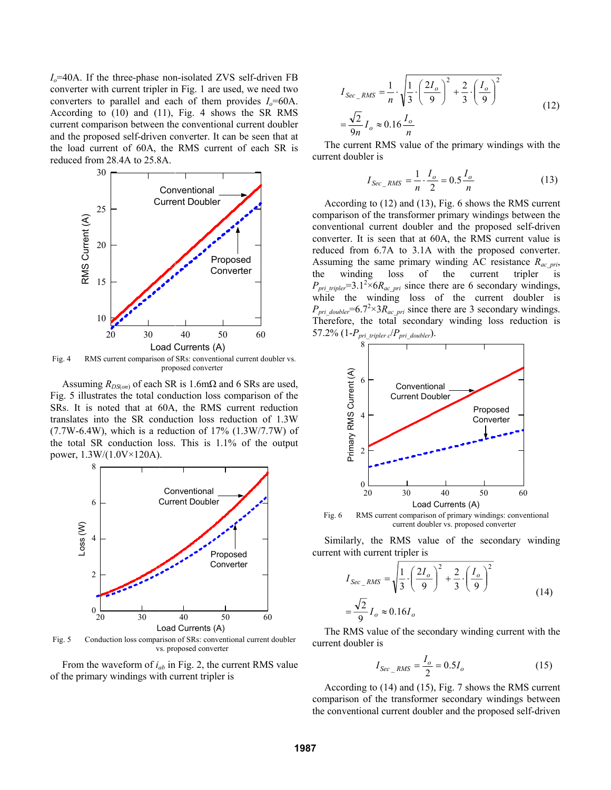$I<sub>o</sub>=40A$ . If the three-phase non-isolated ZVS self-driven FB converter with current tripler in Fig. 1 are used, we need two converters to parallel and each of them provides  $I<sub>o</sub>=60$ A. According to (10) and (11), Fig. 4 shows the SR RMS current comparison between the conventional current doubler and the proposed self-driven converter. It can be seen that at the load current of 60A, the RMS current of each SR is reduced from 28.4A to 25.8A.



Fig. 4 RMS current comparison of SRs: conventional current doubler vs. proposed converter

Assuming *RDS*(*on*) of each SR is 1.6mΩ and 6 SRs are used, Fig. 5 illustrates the total conduction loss comparison of the SRs. It is noted that at 60A, the RMS current reduction translates into the SR conduction loss reduction of 1.3W  $(7.7W - 6.4W)$ , which is a reduction of 17%  $(1.3W / 7.7W)$  of the total SR conduction loss. This is 1.1% of the output power, 1.3W/(1.0V×120A).



Fig. 5 Conduction loss comparison of SRs: conventional current doubler vs. proposed converter

From the waveform of *iab* in Fig. 2, the current RMS value of the primary windings with current tripler is

$$
I_{Sec\_RMS} = \frac{1}{n} \cdot \sqrt{\frac{1}{3} \cdot \left(\frac{2I_o}{9}\right)^2 + \frac{2}{3} \cdot \left(\frac{I_o}{9}\right)^2}
$$
  
=  $\frac{\sqrt{2}}{9n} I_o \approx 0.16 \frac{I_o}{n}$  (12)

The current RMS value of the primary windings with the current doubler is

$$
I_{Sec\_RMS} = \frac{1}{n} \cdot \frac{I_o}{2} = 0.5 \frac{I_o}{n}
$$
 (13)

According to (12) and (13), Fig. 6 shows the RMS current comparison of the transformer primary windings between the conventional current doubler and the proposed self-driven converter. It is seen that at 60A, the RMS current value is reduced from 6.7A to 3.1A with the proposed converter. Assuming the same primary winding AC resistance  $R_{ac-pri}$ , the winding loss of the current tripler is  $P_{pri-tripler}$ =3.1<sup>2</sup>×6*R<sub>ac\_pri</sub>* since there are 6 secondary windings, while the winding loss of the current doubler is  $P_{pri\ doubler}$ =6.7<sup>2</sup>×3 $R_{ac\ pri}$  since there are 3 secondary windings. Therefore, the total secondary winding loss reduction is 57.2%  $(1-P_{pri-tripler} / P_{pri-doubler})$ .



Fig. 6 RMS current comparison of primary windings: conventional current doubler vs. proposed converter

Similarly, the RMS value of the secondary winding current with current tripler is

$$
I_{Sec\_RMS} = \sqrt{\frac{1}{3} \cdot \left(\frac{2I_o}{9}\right)^2 + \frac{2}{3} \cdot \left(\frac{I_o}{9}\right)^2}
$$
  
=  $\frac{\sqrt{2}}{9} I_o \approx 0.16 I_o$  (14)

The RMS value of the secondary winding current with the current doubler is

$$
I_{Sec\_RMS} = \frac{I_o}{2} = 0.5I_o
$$
 (15)

According to (14) and (15), Fig. 7 shows the RMS current comparison of the transformer secondary windings between the conventional current doubler and the proposed self-driven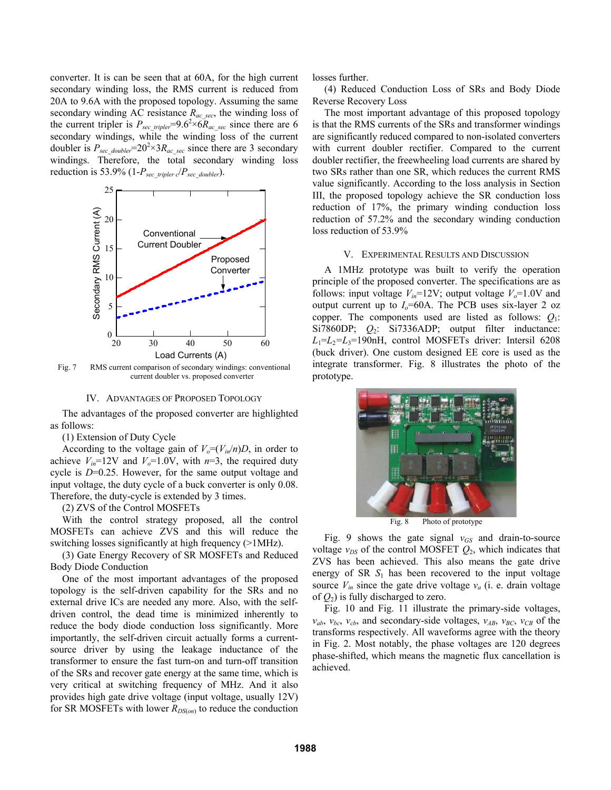converter. It is can be seen that at 60A, for the high current secondary winding loss, the RMS current is reduced from 20A to 9.6A with the proposed topology. Assuming the same secondary winding AC resistance  $R_{ac\,sec}$ , the winding loss of the current tripler is  $P_{\text{sec-tripler}} = 9.6^2 \times 6R_{\text{ac-sec}}$  since there are 6 secondary windings, while the winding loss of the current doubler is  $P_{\text{sec doubler}} = 20^2 \times 3R_{\text{ac} \text{ sec}}$  since there are 3 secondary windings. Therefore, the total secondary winding loss reduction is 53.9% (1- $P_{sec\_tripler}$  *c*/ $P_{sec\_doubler}$ ).



Fig. 7 RMS current comparison of secondary windings: conventional current doubler vs. proposed converter

#### IV. ADVANTAGES OF PROPOSED TOPOLOGY

The advantages of the proposed converter are highlighted as follows:

(1) Extension of Duty Cycle

According to the voltage gain of  $V_o = (V_{in}/n)D$ , in order to achieve  $V_{in}$ =12V and  $V_o$ =1.0V, with  $n=3$ , the required duty cycle is *D*=0.25. However, for the same output voltage and input voltage, the duty cycle of a buck converter is only 0.08. Therefore, the duty-cycle is extended by 3 times.

(2) ZVS of the Control MOSFETs

With the control strategy proposed, all the control MOSFETs can achieve ZVS and this will reduce the switching losses significantly at high frequency (>1MHz).

(3) Gate Energy Recovery of SR MOSFETs and Reduced Body Diode Conduction

One of the most important advantages of the proposed topology is the self-driven capability for the SRs and no external drive ICs are needed any more. Also, with the selfdriven control, the dead time is minimized inherently to reduce the body diode conduction loss significantly. More importantly, the self-driven circuit actually forms a currentsource driver by using the leakage inductance of the transformer to ensure the fast turn-on and turn-off transition of the SRs and recover gate energy at the same time, which is very critical at switching frequency of MHz. And it also provides high gate drive voltage (input voltage, usually 12V) for SR MOSFETs with lower  $R_{DS(on)}$  to reduce the conduction losses further.

(4) Reduced Conduction Loss of SRs and Body Diode Reverse Recovery Loss

The most important advantage of this proposed topology is that the RMS currents of the SRs and transformer windings are significantly reduced compared to non-isolated converters with current doubler rectifier. Compared to the current doubler rectifier, the freewheeling load currents are shared by two SRs rather than one SR, which reduces the current RMS value significantly. According to the loss analysis in Section III, the proposed topology achieve the SR conduction loss reduction of 17%, the primary winding conduction loss reduction of 57.2% and the secondary winding conduction loss reduction of 53.9%

#### V. EXPERIMENTAL RESULTS AND DISCUSSION

A 1MHz prototype was built to verify the operation principle of the proposed converter. The specifications are as follows: input voltage  $V_{in}$ =12V; output voltage  $V_o$ =1.0V and output current up to  $I<sub>o</sub>=60$ A. The PCB uses six-layer 2 oz copper. The components used are listed as follows: *Q*1: Si7860DP; *Q*2: Si7336ADP; output filter inductance:  $L_1=L_2=L_3=190nH$ , control MOSFETs driver: Intersil 6208 (buck driver). One custom designed EE core is used as the integrate transformer. Fig. 8 illustrates the photo of the prototype.



Fig. 8 Photo of prototype

Fig. 9 shows the gate signal  $v_{GS}$  and drain-to-source voltage  $v_{DS}$  of the control MOSFET  $Q_2$ , which indicates that ZVS has been achieved. This also means the gate drive energy of SR  $S_1$  has been recovered to the input voltage source  $V_{in}$  since the gate drive voltage  $v_a$  (i. e. drain voltage of  $Q_2$ ) is fully discharged to zero.

Fig. 10 and Fig. 11 illustrate the primary-side voltages,  $v_{ab}$ ,  $v_{bc}$ ,  $v_{cb}$ , and secondary-side voltages,  $v_{AB}$ ,  $v_{BC}$ ,  $v_{CB}$  of the transforms respectively. All waveforms agree with the theory in Fig. 2. Most notably, the phase voltages are 120 degrees phase-shifted, which means the magnetic flux cancellation is achieved.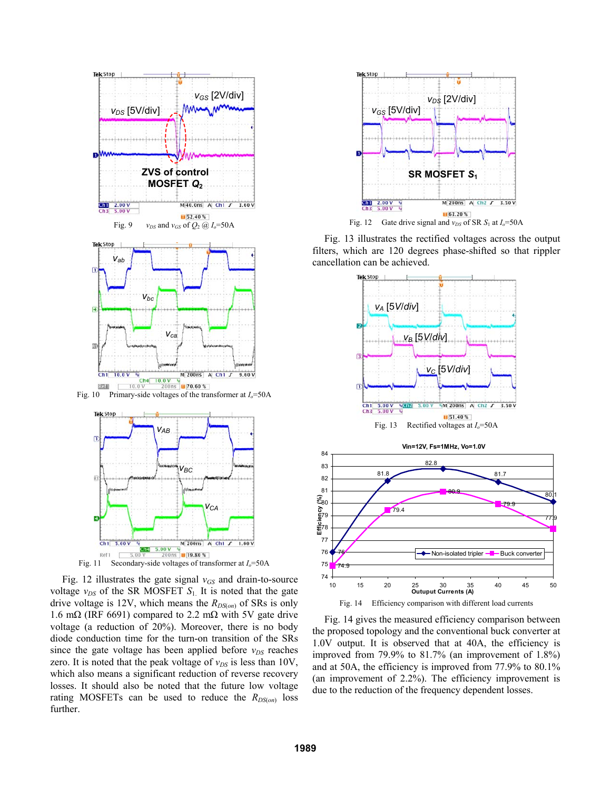

Fig. 12 illustrates the gate signal  $v_{GS}$  and drain-to-source voltage  $v_{DS}$  of the SR MOSFET  $S_1$ . It is noted that the gate drive voltage is 12V, which means the *R<sub>DS(on)</sub>* of SRs is only 1.6 m $\Omega$  (IRF 6691) compared to 2.2 m $\Omega$  with 5V gate drive voltage (a reduction of 20%). Moreover, there is no body diode conduction time for the turn-on transition of the SRs since the gate voltage has been applied before  $v_{DS}$  reaches zero. It is noted that the peak voltage of  $v_{DS}$  is less than 10V, which also means a significant reduction of reverse recovery losses. It should also be noted that the future low voltage rating MOSFETs can be used to reduce the  $R_{DS(on)}$  loss further.



Fig. 13 illustrates the rectified voltages across the output filters, which are 120 degrees phase-shifted so that rippler cancellation can be achieved.



Fig. 14 Efficiency comparison with different load currents

Fig. 14 gives the measured efficiency comparison between the proposed topology and the conventional buck converter at 1.0V output. It is observed that at 40A, the efficiency is improved from 79.9% to 81.7% (an improvement of 1.8%) and at 50A, the efficiency is improved from 77.9% to 80.1% (an improvement of 2.2%). The efficiency improvement is due to the reduction of the frequency dependent losses.

**Efficiency (%)**